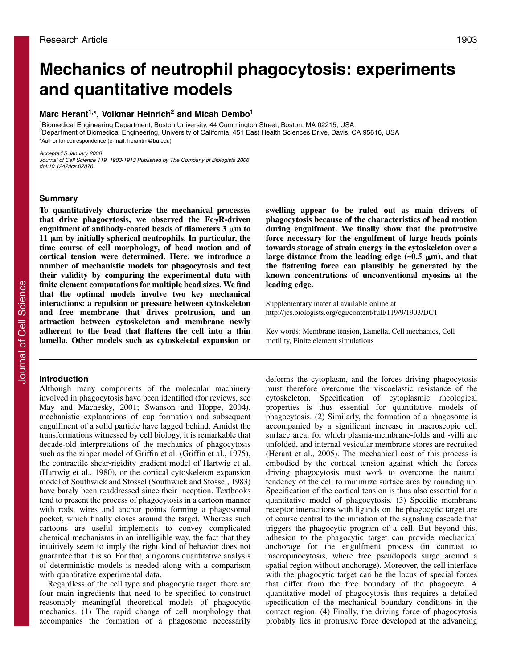# **Mechanics of neutrophil phagocytosis: experiments and quantitative models**

# Marc Herant<sup>1,\*</sup>, Volkmar Heinrich<sup>2</sup> and Micah Dembo<sup>1</sup>

1Biomedical Engineering Department, Boston University, 44 Cummington Street, Boston, MA 02215, USA 2Department of Biomedical Engineering, University of California, 451 East Health Sciences Drive, Davis, CA 95616, USA \*Author for correspondence (e-mail: herantm@bu.edu)

Accepted 5 January 2006 Journal of Cell Science 119, 1903-1913 Published by The Company of Biologists 2006 doi:10.1242/jcs.02876

## **Summary**

**To quantitatively characterize the mechanical processes** that drive phagocytosis, we observed the FcyR-driven engulfment of antibody-coated beads of diameters  $3 \mu m$  to **11 m by initially spherical neutrophils. In particular, the time course of cell morphology, of bead motion and of cortical tension were determined. Here, we introduce a number of mechanistic models for phagocytosis and test their validity by comparing the experimental data with finite element computations for multiple bead sizes. We find that the optimal models involve two key mechanical interactions: a repulsion or pressure between cytoskeleton and free membrane that drives protrusion, and an attraction between cytoskeleton and membrane newly adherent to the bead that flattens the cell into a thin lamella. Other models such as cytoskeletal expansion or**

# **Introduction**

Although many components of the molecular machinery involved in phagocytosis have been identified (for reviews, see May and Machesky, 2001; Swanson and Hoppe, 2004), mechanistic explanations of cup formation and subsequent engulfment of a solid particle have lagged behind. Amidst the transformations witnessed by cell biology, it is remarkable that decade-old interpretations of the mechanics of phagocytosis such as the zipper model of Griffin et al. (Griffin et al., 1975), the contractile shear-rigidity gradient model of Hartwig et al. (Hartwig et al., 1980), or the cortical cytoskeleton expansion model of Southwick and Stossel (Southwick and Stossel, 1983) have barely been readdressed since their inception. Textbooks tend to present the process of phagocytosis in a cartoon manner with rods, wires and anchor points forming a phagosomal pocket, which finally closes around the target. Whereas such cartoons are useful implements to convey complicated chemical mechanisms in an intelligible way, the fact that they intuitively seem to imply the right kind of behavior does not guarantee that it is so. For that, a rigorous quantitative analysis of deterministic models is needed along with a comparison with quantitative experimental data.

Regardless of the cell type and phagocytic target, there are four main ingredients that need to be specified to construct reasonably meaningful theoretical models of phagocytic mechanics. (1) The rapid change of cell morphology that accompanies the formation of a phagosome necessarily **swelling appear to be ruled out as main drivers of phagocytosis because of the characteristics of bead motion during engulfment. We finally show that the protrusive force necessary for the engulfment of large beads points towards storage of strain energy in the cytoskeleton over a** large distance from the leading edge  $(-0.5 \mu m)$ , and that **the flattening force can plausibly be generated by the known concentrations of unconventional myosins at the leading edge.**

Supplementary material available online at http://jcs.biologists.org/cgi/content/full/119/9/1903/DC1

Key words: Membrane tension, Lamella, Cell mechanics, Cell motility, Finite element simulations

deforms the cytoplasm, and the forces driving phagocytosis must therefore overcome the viscoelastic resistance of the cytoskeleton. Specification of cytoplasmic rheological properties is thus essential for quantitative models of phagocytosis. (2) Similarly, the formation of a phagosome is accompanied by a significant increase in macroscopic cell surface area, for which plasma-membrane-folds and -villi are unfolded, and internal vesicular membrane stores are recruited (Herant et al., 2005). The mechanical cost of this process is embodied by the cortical tension against which the forces driving phagocytosis must work to overcome the natural tendency of the cell to minimize surface area by rounding up. Specification of the cortical tension is thus also essential for a quantitative model of phagocytosis. (3) Specific membrane receptor interactions with ligands on the phagocytic target are of course central to the initiation of the signaling cascade that triggers the phagocytic program of a cell. But beyond this, adhesion to the phagocytic target can provide mechanical anchorage for the engulfment process (in contrast to macropinocytosis, where free pseudopods surge around a spatial region without anchorage). Moreover, the cell interface with the phagocytic target can be the locus of special forces that differ from the free boundary of the phagocyte. A quantitative model of phagocytosis thus requires a detailed specification of the mechanical boundary conditions in the contact region. (4) Finally, the driving force of phagocytosis probably lies in protrusive force developed at the advancing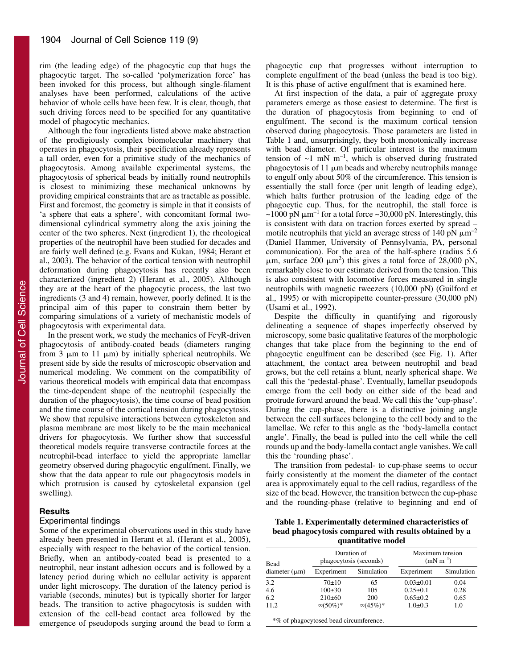rim (the leading edge) of the phagocytic cup that hugs the phagocytic target. The so-called 'polymerization force' has been invoked for this process, but although single-filament analyses have been performed, calculations of the active behavior of whole cells have been few. It is clear, though, that such driving forces need to be specified for any quantitative model of phagocytic mechanics.

Although the four ingredients listed above make abstraction of the prodigiously complex biomolecular machinery that operates in phagocytosis, their specification already represents a tall order, even for a primitive study of the mechanics of phagocytosis. Among available experimental systems, the phagocytosis of spherical beads by initially round neutrophils is closest to minimizing these mechanical unknowns by providing empirical constraints that are as tractable as possible. First and foremost, the geometry is simple in that it consists of 'a sphere that eats a sphere', with concomitant formal twodimensional cylindrical symmetry along the axis joining the center of the two spheres. Next (ingredient 1), the rheological properties of the neutrophil have been studied for decades and are fairly well defined (e.g. Evans and Kukan, 1984; Herant et al., 2003). The behavior of the cortical tension with neutrophil deformation during phagocytosis has recently also been characterized (ingredient 2) (Herant et al., 2005). Although they are at the heart of the phagocytic process, the last two ingredients (3 and 4) remain, however, poorly defined. It is the principal aim of this paper to constrain them better by comparing simulations of a variety of mechanistic models of phagocytosis with experimental data.

In the present work, we study the mechanics of  $Fc\gamma R$ -driven phagocytosis of antibody-coated beads (diameters ranging from 3  $\mu$ m to 11  $\mu$ m) by initially spherical neutrophils. We present side by side the results of microscopic observation and numerical modeling. We comment on the compatibility of various theoretical models with empirical data that encompass the time-dependent shape of the neutrophil (especially the duration of the phagocytosis), the time course of bead position and the time course of the cortical tension during phagocytosis. We show that repulsive interactions between cytoskeleton and plasma membrane are most likely to be the main mechanical drivers for phagocytosis. We further show that successful theoretical models require transverse contractile forces at the neutrophil-bead interface to yield the appropriate lamellar geometry observed during phagocytic engulfment. Finally, we show that the data appear to rule out phagocytosis models in which protrusion is caused by cytoskeletal expansion (gel swelling).

# **Results**

## Experimental findings

Some of the experimental observations used in this study have already been presented in Herant et al. (Herant et al., 2005), especially with respect to the behavior of the cortical tension. Briefly, when an antibody-coated bead is presented to a neutrophil, near instant adhesion occurs and is followed by a latency period during which no cellular activity is apparent under light microscopy. The duration of the latency period is variable (seconds, minutes) but is typically shorter for larger beads. The transition to active phagocytosis is sudden with extension of the cell-bead contact area followed by the emergence of pseudopods surging around the bead to form a phagocytic cup that progresses without interruption to complete engulfment of the bead (unless the bead is too big). It is this phase of active engulfment that is examined here.

At first inspection of the data, a pair of aggregate proxy parameters emerge as those easiest to determine. The first is the duration of phagocytosis from beginning to end of engulfment. The second is the maximum cortical tension observed during phagocytosis. Those parameters are listed in Table 1 and, unsurprisingly, they both monotonically increase with bead diameter. Of particular interest is the maximum tension of  $\sim$ 1 mN m<sup>-1</sup>, which is observed during frustrated phagocytosis of  $11 \mu m$  beads and whereby neutrophils manage to engulf only about 50% of the circumference. This tension is essentially the stall force (per unit length of leading edge), which halts further protrusion of the leading edge of the phagocytic cup. Thus, for the neutrophil, the stall force is ~1000 pN  $\mu$ m<sup>-1</sup> for a total force ~30,000 pN. Interestingly, this is consistent with data on traction forces exerted by spread – motile neutrophils that yield an average stress of 140 pN  $\mu$ m<sup>-2</sup> (Daniel Hammer, University of Pennsylvania, PA, personal communication). For the area of the half-sphere (radius 5.6  $\mu$ m, surface 200  $\mu$ m<sup>2</sup>) this gives a total force of 28,000 pN, remarkably close to our estimate derived from the tension. This is also consistent with locomotive forces measured in single neutrophils with magnetic tweezers (10,000 pN) (Guilford et al., 1995) or with micropipette counter-pressure (30,000 pN) (Usami et al., 1992).

Despite the difficulty in quantifying and rigorously delineating a sequence of shapes imperfectly observed by microscopy, some basic qualitative features of the morphologic changes that take place from the beginning to the end of phagocytic engulfment can be described (see Fig. 1). After attachment, the contact area between neutrophil and bead grows, but the cell retains a blunt, nearly spherical shape. We call this the 'pedestal-phase'. Eventually, lamellar pseudopods emerge from the cell body on either side of the bead and protrude forward around the bead. We call this the 'cup-phase'. During the cup-phase, there is a distinctive joining angle between the cell surfaces belonging to the cell body and to the lamellae. We refer to this angle as the 'body-lamella contact angle'. Finally, the bead is pulled into the cell while the cell rounds up and the body-lamella contact angle vanishes. We call this the 'rounding phase'.

The transition from pedestal- to cup-phase seems to occur fairly consistently at the moment the diameter of the contact area is approximately equal to the cell radius, regardless of the size of the bead. However, the transition between the cup-phase and the rounding-phase (relative to beginning and end of

**Table 1. Experimentally determined characteristics of bead phagocytosis compared with results obtained by a quantitative model**

| Bead<br>diameter $(\mu m)$ | Duration of<br>phagocytosis (seconds) |                 | Maximum tension<br>$(mN m^{-1})$ |            |
|----------------------------|---------------------------------------|-----------------|----------------------------------|------------|
|                            | Experiment                            | Simulation      | Experiment                       | Simulation |
| 3.2                        | 70±10                                 | 65              | $0.03 \pm 0.01$                  | 0.04       |
| 4.6                        | $100 \pm 30$                          | 105             | $0.25 \pm 0.1$                   | 0.28       |
| 6.2                        | $210\pm 60$                           | 200             | $0.65 \pm 0.2$                   | 0.65       |
| 11.2                       | $\infty(50\%)^*$                      | $\infty(45\%)*$ | $1.0 \pm 0.3$                    | 1.0        |

\*% of phagocytosed bead circumference.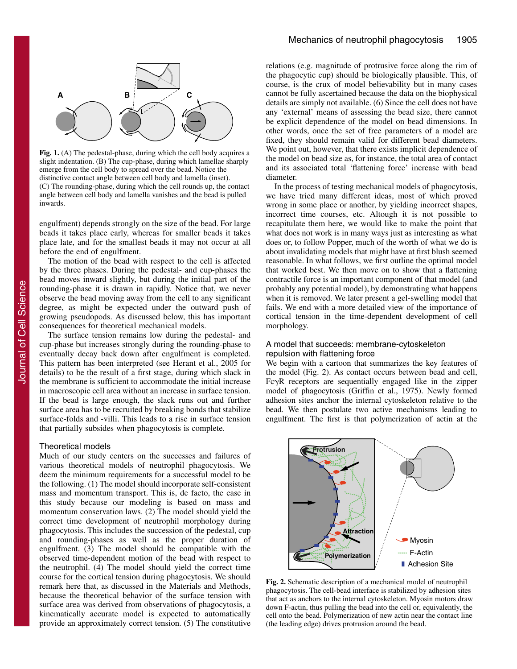

**Fig. 1.** (A) The pedestal-phase, during which the cell body acquires a slight indentation. (B) The cup-phase, during which lamellae sharply emerge from the cell body to spread over the bead. Notice the distinctive contact angle between cell body and lamella (inset). (C) The rounding-phase, during which the cell rounds up, the contact angle between cell body and lamella vanishes and the bead is pulled inwards.

engulfment) depends strongly on the size of the bead. For large beads it takes place early, whereas for smaller beads it takes place late, and for the smallest beads it may not occur at all before the end of engulfment.

The motion of the bead with respect to the cell is affected by the three phases. During the pedestal- and cup-phases the bead moves inward slightly, but during the initial part of the rounding-phase it is drawn in rapidly. Notice that, we never observe the bead moving away from the cell to any significant degree, as might be expected under the outward push of growing pseudopods. As discussed below, this has important consequences for theoretical mechanical models.

The surface tension remains low during the pedestal- and cup-phase but increases strongly during the rounding-phase to eventually decay back down after engulfment is completed. This pattern has been interpreted (see Herant et al., 2005 for details) to be the result of a first stage, during which slack in the membrane is sufficient to accommodate the initial increase in macroscopic cell area without an increase in surface tension. If the bead is large enough, the slack runs out and further surface area has to be recruited by breaking bonds that stabilize surface-folds and -villi. This leads to a rise in surface tension that partially subsides when phagocytosis is complete.

# Theoretical models

Much of our study centers on the successes and failures of various theoretical models of neutrophil phagocytosis. We deem the minimum requirements for a successful model to be the following. (1) The model should incorporate self-consistent mass and momentum transport. This is, de facto, the case in this study because our modeling is based on mass and momentum conservation laws. (2) The model should yield the correct time development of neutrophil morphology during phagocytosis. This includes the succession of the pedestal, cup and rounding-phases as well as the proper duration of engulfment. (3) The model should be compatible with the observed time-dependent motion of the bead with respect to the neutrophil. (4) The model should yield the correct time course for the cortical tension during phagocytosis. We should remark here that, as discussed in the Materials and Methods, because the theoretical behavior of the surface tension with surface area was derived from observations of phagocytosis, a kinematically accurate model is expected to automatically provide an approximately correct tension. (5) The constitutive

relations (e.g. magnitude of protrusive force along the rim of the phagocytic cup) should be biologically plausible. This, of course, is the crux of model believability but in many cases cannot be fully ascertained because the data on the biophysical details are simply not available. (6) Since the cell does not have any 'external' means of assessing the bead size, there cannot be explicit dependence of the model on bead dimensions. In other words, once the set of free parameters of a model are fixed, they should remain valid for different bead diameters. We point out, however, that there exists implicit dependence of the model on bead size as, for instance, the total area of contact and its associated total 'flattening force' increase with bead diameter.

In the process of testing mechanical models of phagocytosis, we have tried many different ideas, most of which proved wrong in some place or another, by yielding incorrect shapes, incorrect time courses, etc. Altough it is not possible to recapitulate them here, we would like to make the point that what does not work is in many ways just as interesting as what does or, to follow Popper, much of the worth of what we do is about invalidating models that might have at first blush seemed reasonable. In what follows, we first outline the optimal model that worked best. We then move on to show that a flattening contractile force is an important component of that model (and probably any potential model), by demonstrating what happens when it is removed. We later present a gel-swelling model that fails. We end with a more detailed view of the importance of cortical tension in the time-dependent development of cell morphology.

# A model that succeeds: membrane-cytoskeleton repulsion with flattening force

We begin with a cartoon that summarizes the key features of the model (Fig. 2). As contact occurs between bead and cell, Fc $\gamma$ R receptors are sequentially engaged like in the zipper model of phagocytosis (Griffin et al., 1975). Newly formed adhesion sites anchor the internal cytoskeleton relative to the bead. We then postulate two active mechanisms leading to engulfment. The first is that polymerization of actin at the



**Fig. 2.** Schematic description of a mechanical model of neutrophil phagocytosis. The cell-bead interface is stabilized by adhesion sites that act as anchors to the internal cytoskeleton. Myosin motors draw down F-actin, thus pulling the bead into the cell or, equivalently, the cell onto the bead. Polymerization of new actin near the contact line (the leading edge) drives protrusion around the bead.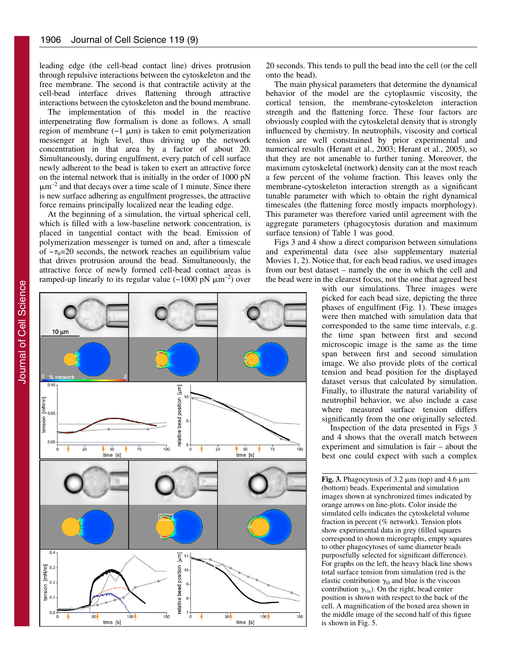leading edge (the cell-bead contact line) drives protrusion through repulsive interactions between the cytoskeleton and the free membrane. The second is that contractile activity at the cell-bead interface drives flattening through attractive interactions between the cytoskeleton and the bound membrane.

The implementation of this model in the reactive interpenetrating flow formalism is done as follows. A small region of membrane  $(-1 \mu m)$  is taken to emit polymerization messenger at high level, thus driving up the network concentration in that area by a factor of about 20. Simultaneously, during engulfment, every patch of cell surface newly adherent to the bead is taken to exert an attractive force on the internal network that is initially in the order of 1000 pN  $\mu$ m<sup>-2</sup> and that decays over a time scale of 1 minute. Since there is new surface adhering as engulfment progresses, the attractive force remains principally localized near the leading edge.

At the beginning of a simulation, the virtual spherical cell, which is filled with a low-baseline network concentration, is placed in tangential contact with the bead. Emission of polymerization messenger is turned on and, after a timescale of  $-\tau_n=20$  seconds, the network reaches an equilibrium value that drives protrusion around the bead. Simultaneously, the attractive force of newly formed cell-bead contact areas is ramped-up linearly to its regular value (~1000 pN  $\mu$ m<sup>-2</sup>) over



The main physical parameters that determine the dynamical behavior of the model are the cytoplasmic viscosity, the cortical tension, the membrane-cytoskeleton interaction strength and the flattening force. These four factors are obviously coupled with the cytoskeletal density that is strongly influenced by chemistry. In neutrophils, viscosity and cortical tension are well constrained by prior experimental and numerical results (Herant et al., 2003; Herant et al., 2005), so that they are not amenable to further tuning. Moreover, the maximum cytoskeletal (network) density can at the most reach a few percent of the volume fraction. This leaves only the membrane-cytoskeleton interaction strength as a significant tunable parameter with which to obtain the right dynamical timescales (the flattening force mostly impacts morphology). This parameter was therefore varied until agreement with the aggregate parameters (phagocytosis duration and maximum surface tension) of Table 1 was good.

Figs 3 and 4 show a direct comparison between simulations and experimental data (see also supplementary material Movies 1, 2). Notice that, for each bead radius, we used images from our best dataset – namely the one in which the cell and the bead were in the clearest focus, not the one that agreed best

> with our simulations. Three images were picked for each bead size, depicting the three phases of engulfment (Fig. 1). These images were then matched with simulation data that corresponded to the same time intervals, e.g. the time span between first and second microscopic image is the same as the time span between first and second simulation image. We also provide plots of the cortical tension and bead position for the displayed dataset versus that calculated by simulation. Finally, to illustrate the natural variability of neutrophil behavior, we also include a case where measured surface tension differs significantly from the one originally selected.

> Inspection of the data presented in Figs 3 and 4 shows that the overall match between experiment and simulation is fair – about the best one could expect with such a complex

**Fig. 3.** Phagocytosis of  $3.2 \mu m$  (top) and  $4.6 \mu m$ (bottom) beads. Experimental and simulation images shown at synchronized times indicated by orange arrows on line-plots. Color inside the simulated cells indicates the cytoskeletal volume fraction in percent (% network). Tension plots show experimental data in grey (filled squares correspond to shown micrographs, empty squares to other phagocytoses of same diameter beads purposefully selected for significant difference). For graphs on the left, the heavy black line shows total surface tension from simulation (red is the elastic contribution  $\gamma_{el}$  and blue is the viscous contribution  $\gamma_{vis}$ ). On the right, bead center position is shown with respect to the back of the cell. A magnification of the boxed area shown in the middle image of the second half of this figure is shown in Fig. 5.

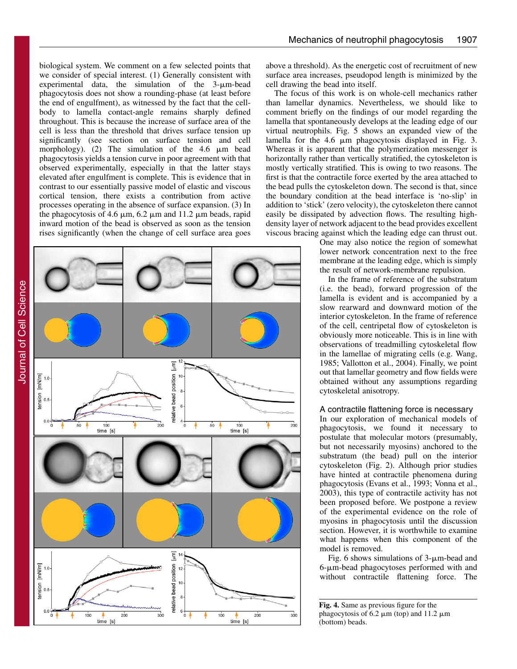biological system. We comment on a few selected points that we consider of special interest. (1) Generally consistent with experimental data, the simulation of the  $3-\mu m$ -bead phagocytosis does not show a rounding-phase (at least before the end of engulfment), as witnessed by the fact that the cellbody to lamella contact-angle remains sharply defined throughout. This is because the increase of surface area of the cell is less than the threshold that drives surface tension up significantly (see section on surface tension and cell morphology). (2) The simulation of the  $4.6 \mu m$  bead phagocytosis yields a tension curve in poor agreement with that observed experimentally, especially in that the latter stays elevated after engulfment is complete. This is evidence that in contrast to our essentially passive model of elastic and viscous cortical tension, there exists a contribution from active processes operating in the absence of surface expansion. (3) In the phagocytosis of 4.6  $\mu$ m, 6.2  $\mu$ m and 11.2  $\mu$ m beads, rapid inward motion of the bead is observed as soon as the tension rises significantly (when the change of cell surface area goes



above a threshold). As the energetic cost of recruitment of new surface area increases, pseudopod length is minimized by the cell drawing the bead into itself.

The focus of this work is on whole-cell mechanics rather than lamellar dynamics. Nevertheless, we should like to comment briefly on the findings of our model regarding the lamella that spontaneously develops at the leading edge of our virtual neutrophils. Fig. 5 shows an expanded view of the lamella for the  $4.6 \mu m$  phagocytosis displayed in Fig. 3. Whereas it is apparent that the polymerization messenger is horizontally rather than vertically stratified, the cytoskeleton is mostly vertically stratified. This is owing to two reasons. The first is that the contractile force exerted by the area attached to the bead pulls the cytoskeleton down. The second is that, since the boundary condition at the bead interface is 'no-slip' in addition to 'stick' (zero velocity), the cytoskeleton there cannot easily be dissipated by advection flows. The resulting highdensity layer of network adjacent to the bead provides excellent viscous bracing against which the leading edge can thrust out.

> One may also notice the region of somewhat lower network concentration next to the free membrane at the leading edge, which is simply the result of network-membrane repulsion.

> In the frame of reference of the substratum (i.e. the bead), forward progression of the lamella is evident and is accompanied by a slow rearward and downward motion of the interior cytoskeleton. In the frame of reference of the cell, centripetal flow of cytoskeleton is obviously more noticeable. This is in line with observations of treadmilling cytoskeletal flow in the lamellae of migrating cells (e.g. Wang, 1985; Vallotton et al., 2004). Finally, we point out that lamellar geometry and flow fields were obtained without any assumptions regarding cytoskeletal anisotropy.

## A contractile flattening force is necessary

In our exploration of mechanical models of phagocytosis, we found it necessary to postulate that molecular motors (presumably, but not necessarily myosins) anchored to the substratum (the bead) pull on the interior cytoskeleton (Fig. 2). Although prior studies have hinted at contractile phenomena during phagocytosis (Evans et al., 1993; Vonna et al., 2003), this type of contractile activity has not been proposed before. We postpone a review of the experimental evidence on the role of myosins in phagocytosis until the discussion section. However, it is worthwhile to examine what happens when this component of the model is removed.

Fig. 6 shows simulations of  $3$ - $\mu$ m-bead and 6-m-bead phagocytoses performed with and without contractile flattening force. The

**Fig. 4.** Same as previous figure for the phagocytosis of 6.2  $\mu$ m (top) and 11.2  $\mu$ m (bottom) beads.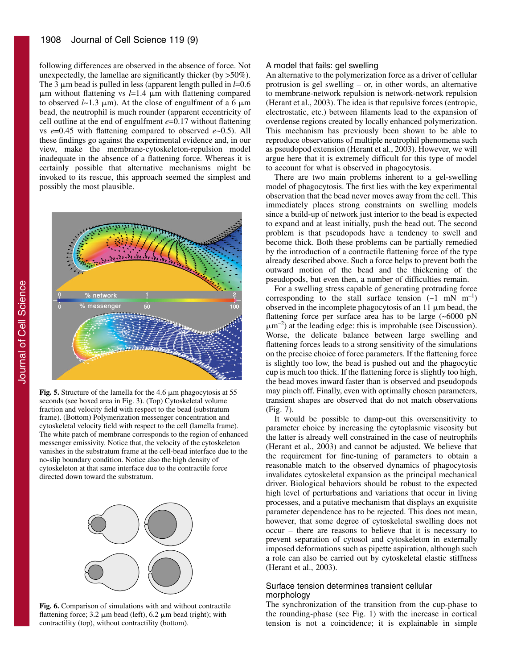following differences are observed in the absence of force. Not unexpectedly, the lamellae are significantly thicker (by >50%). The 3  $\mu$ m bead is pulled in less (apparent length pulled in *l*=0.6  $\mu$ m without flattening vs *l*=1.4  $\mu$ m with flattening compared to observed  $l \sim 1.3 \mu m$ ). At the close of engulfment of a 6  $\mu$ m bead, the neutrophil is much rounder (apparent eccentricity of cell outline at the end of engulfment *e*=0.17 without flattening vs *e*=0.45 with flattening compared to observed *e*~0.5). All these findings go against the experimental evidence and, in our view, make the membrane-cytoskeleton-repulsion model inadequate in the absence of a flattening force. Whereas it is certainly possible that alternative mechanisms might be invoked to its rescue, this approach seemed the simplest and possibly the most plausible.



**Fig. 5.** Structure of the lamella for the 4.6  $\mu$ m phagocytosis at 55 seconds (see boxed area in Fig. 3). (Top) Cytoskeletal volume fraction and velocity field with respect to the bead (substratum frame). (Bottom) Polymerization messenger concentration and cytoskeletal velocity field with respect to the cell (lamella frame). The white patch of membrane corresponds to the region of enhanced messenger emissivity. Notice that, the velocity of the cytoskeleton vanishes in the substratum frame at the cell-bead interface due to the no-slip boundary condition. Notice also the high density of cytoskeleton at that same interface due to the contractile force directed down toward the substratum.



**Fig. 6.** Comparison of simulations with and without contractile flattening force;  $3.2 \mu m$  bead (left),  $6.2 \mu m$  bead (right); with contractility (top), without contractility (bottom).

# A model that fails: gel swelling

An alternative to the polymerization force as a driver of cellular protrusion is gel swelling – or, in other words, an alternative to membrane-network repulsion is network-network repulsion (Herant et al., 2003). The idea is that repulsive forces (entropic, electrostatic, etc.) between filaments lead to the expansion of overdense regions created by locally enhanced polymerization. This mechanism has previously been shown to be able to reproduce observations of multiple neutrophil phenomena such as pseudopod extension (Herant et al., 2003). However, we will argue here that it is extremely difficult for this type of model to account for what is observed in phagocytosis.

There are two main problems inherent to a gel-swelling model of phagocytosis. The first lies with the key experimental observation that the bead never moves away from the cell. This immediately places strong constraints on swelling models since a build-up of network just interior to the bead is expected to expand and at least initially, push the bead out. The second problem is that pseudopods have a tendency to swell and become thick. Both these problems can be partially remedied by the introduction of a contractile flattening force of the type already described above. Such a force helps to prevent both the outward motion of the bead and the thickening of the pseudopods, but even then, a number of difficulties remain.

For a swelling stress capable of generating protruding force corresponding to the stall surface tension  $(-1 \text{ mN} \text{ m}^{-1})$ observed in the incomplete phagocytosis of an  $11 \mu m$  bead, the flattening force per surface area has to be large  $(-6000)$  pN  $\mu$ m<sup>-2</sup>) at the leading edge: this is improbable (see Discussion). Worse, the delicate balance between large swelling and flattening forces leads to a strong sensitivity of the simulations on the precise choice of force parameters. If the flattening force is slightly too low, the bead is pushed out and the phagocytic cup is much too thick. If the flattening force is slightly too high, the bead moves inward faster than is observed and pseudopods may pinch off. Finally, even with optimally chosen parameters, transient shapes are observed that do not match observations (Fig. 7).

It would be possible to damp-out this oversensitivity to parameter choice by increasing the cytoplasmic viscosity but the latter is already well constrained in the case of neutrophils (Herant et al., 2003) and cannot be adjusted. We believe that the requirement for fine-tuning of parameters to obtain a reasonable match to the observed dynamics of phagocytosis invalidates cytoskeletal expansion as the principal mechanical driver. Biological behaviors should be robust to the expected high level of perturbations and variations that occur in living processes, and a putative mechanism that displays an exquisite parameter dependence has to be rejected. This does not mean, however, that some degree of cytoskeletal swelling does not occur – there are reasons to believe that it is necessary to prevent separation of cytosol and cytoskeleton in externally imposed deformations such as pipette aspiration, although such a role can also be carried out by cytoskeletal elastic stiffness (Herant et al., 2003).

# Surface tension determines transient cellular morphology

The synchronization of the transition from the cup-phase to the rounding-phase (see Fig. 1) with the increase in cortical tension is not a coincidence; it is explainable in simple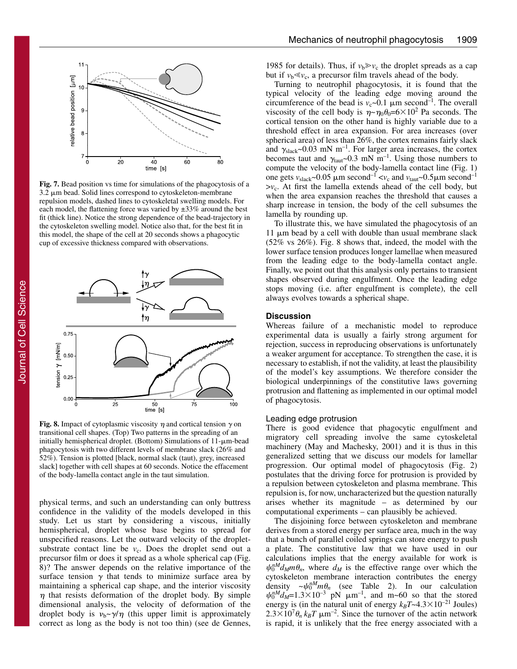

**Fig. 7.** Bead position vs time for simulations of the phagocytosis of a  $3.2 \mu m$  bead. Solid lines correspond to cytoskeleton-membrane repulsion models, dashed lines to cytoskeletal swelling models. For each model, the flattening force was varied by  $\pm 33\%$  around the best fit (thick line). Notice the strong dependence of the bead-trajectory in the cytoskeleton swelling model. Notice also that, for the best fit in this model, the shape of the cell at 20 seconds shows a phagocytic cup of excessive thickness compared with observations.



**Fig. 8.** Impact of cytoplasmic viscosity  $\eta$  and cortical tension  $\gamma$  on transitional cell shapes. (Top) Two patterns in the spreading of an initially hemispherical droplet. (Bottom) Simulations of  $11$ - $\mu$ m-bead phagocytosis with two different levels of membrane slack (26% and 52%). Tension is plotted [black, normal slack (taut), grey, increased slack] together with cell shapes at 60 seconds. Notice the effacement of the body-lamella contact angle in the taut simulation.

physical terms, and such an understanding can only buttress confidence in the validity of the models developed in this study. Let us start by considering a viscous, initially hemispherical, droplet whose base begins to spread for unspecified reasons. Let the outward velocity of the dropletsubstrate contact line be  $v_c$ . Does the droplet send out a precursor film or does it spread as a whole spherical cap (Fig. 8)? The answer depends on the relative importance of the surface tension  $\gamma$  that tends to minimize surface area by maintaining a spherical cap shape, and the interior viscosity  $\eta$  that resists deformation of the droplet body. By simple dimensional analysis, the velocity of deformation of the droplet body is  $v_b \sim \gamma/\eta$  (this upper limit is approximately correct as long as the body is not too thin) (see de Gennes,

1985 for details). Thus, if  $v_b \gg v_c$  the droplet spreads as a cap but if  $v_b \ll v_c$ , a precursor film travels ahead of the body.

Turning to neutrophil phagocytosis, it is found that the typical velocity of the leading edge moving around the circumference of the bead is  $v_c$  -0.1  $\mu$ m second<sup>-1</sup>. The overall viscosity of the cell body is  $\eta \sim \eta_0 \theta_0 = 6 \times 10^2$  Pa seconds. The cortical tension on the other hand is highly variable due to a threshold effect in area expansion. For area increases (over spherical area) of less than 26%, the cortex remains fairly slack and  $\gamma_{\text{slack}}$ ~0.03 mN m<sup>-1</sup>. For larger area increases, the cortex becomes taut and  $\gamma_{\text{taut}}$ ~0.3 mN m<sup>-1</sup>. Using those numbers to compute the velocity of the body-lamella contact line (Fig. 1) one gets  $v_{\text{slack}}$ ~0.05  $\mu$ m second<sup>-1</sup> < $v_c$  and  $v_{\text{taut}}$ ~0.5 $\mu$ m second<sup>-1</sup>  $>v_c$ . At first the lamella extends ahead of the cell body, but when the area expansion reaches the threshold that causes a sharp increase in tension, the body of the cell subsumes the lamella by rounding up.

To illustrate this, we have simulated the phagocytosis of an  $11 \mu m$  bead by a cell with double than usual membrane slack (52% vs 26%). Fig. 8 shows that, indeed, the model with the lower surface tension produces longer lamellae when measured from the leading edge to the body-lamella contact angle. Finally, we point out that this analysis only pertains to transient shapes observed during engulfment. Once the leading edge stops moving (i.e. after engulfment is complete), the cell always evolves towards a spherical shape.

## **Discussion**

Whereas failure of a mechanistic model to reproduce experimental data is usually a fairly strong argument for rejection, success in reproducing observations is unfortunately a weaker argument for acceptance. To strengthen the case, it is necessary to establish, if not the validity, at least the plausibility of the model's key assumptions. We therefore consider the biological underpinnings of the constitutive laws governing protrusion and flattening as implemented in our optimal model of phagocytosis.

## Leading edge protrusion

There is good evidence that phagocytic engulfment and migratory cell spreading involve the same cytoskeletal machinery (May and Machesky, 2001) and it is thus in this generalized setting that we discuss our models for lamellar progression. Our optimal model of phagocytosis (Fig. 2) postulates that the driving force for protrusion is provided by a repulsion between cytoskeleton and plasma membrane. This repulsion is, for now, uncharacterized but the question naturally arises whether its magnitude – as determined by our computational experiments – can plausibly be achieved.

The disjoining force between cytoskeleton and membrane derives from a stored energy per surface area, much in the way that a bunch of parallel coiled springs can store energy to push a plate. The constitutive law that we have used in our calculations implies that the energy available for work is  $\psi_0^{\textit{nM}}d_Mm\theta_n$ , where  $d_M$  is the effective range over which the cytoskeleton membrane interaction contributes the energy density  $\sim \psi_0^{nM} m \theta_n$  (see Table 2). In our calculation  $\psi_0^{\text{m}}d_M=1.3\times10^{-3}$  pN  $\mu$ m<sup>-1</sup>, and m~60 so that the stored energy is (in the natural unit of energy  $k_B T \sim 4.3 \times 10^{-21}$  Joules)  $2.3 \times 10^7 \theta_n k_B T \mu m^{-2}$ . Since the turnover of the actin network is rapid, it is unlikely that the free energy associated with a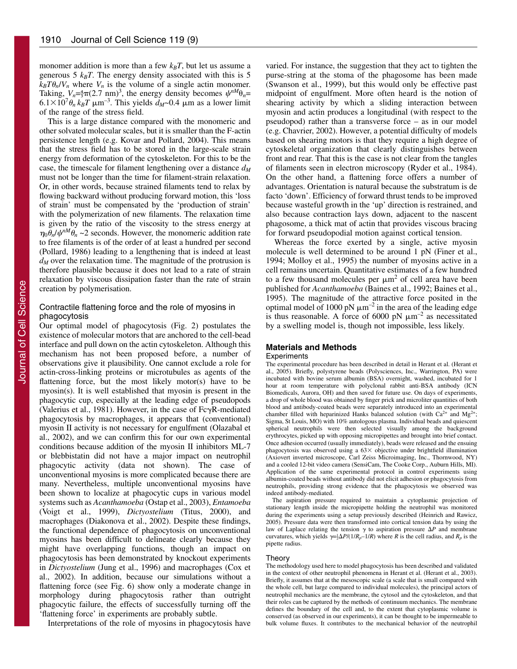monomer addition is more than a few  $k_B T$ , but let us assume a generous 5  $k_B T$ . The energy density associated with this is 5  $k_B T \theta_n / V_n$  where  $V_n$  is the volume of a single actin monomer. Taking,  $V_n = \frac{4}{3}\pi (2.7 \text{ nm})^3$ , the energy density becomes  $\psi^{nM} \theta_n =$  $6.1 \times 10^7 \theta_n k_B T \mu m^{-3}$ . This yields  $d_M \sim 0.4 \mu m$  as a lower limit of the range of the stress field.

This is a large distance compared with the monomeric and other solvated molecular scales, but it is smaller than the F-actin persistence length (e.g. Kovar and Pollard, 2004). This means that the stress field has to be stored in the large-scale strain energy from deformation of the cytoskeleton. For this to be the case, the timescale for filament lengthening over a distance  $d_M$ must not be longer than the time for filament-strain relaxation. Or, in other words, because strained filaments tend to relax by flowing backward without producing forward motion, this 'loss of strain' must be compensated by the 'production of strain' with the polymerization of new filaments. The relaxation time is given by the ratio of the viscosity to the stress energy at  $\eta_0 \bar{\theta}_n / \psi^{nM} \bar{\theta}_n \sim 2$  seconds. However, the monomeric addition rate to free filaments is of the order of at least a hundred per second (Pollard, 1986) leading to a lengthening that is indeed at least  $d_M$  over the relaxation time. The magnitude of the protrusion is therefore plausible because it does not lead to a rate of strain relaxation by viscous dissipation faster than the rate of strain creation by polymerisation.

# Contractile flattening force and the role of myosins in phagocytosis

Our optimal model of phagocytosis (Fig. 2) postulates the existence of molecular motors that are anchored to the cell-bead interface and pull down on the actin cytoskeleton. Although this mechanism has not been proposed before, a number of observations give it plausibility. One cannot exclude a role for actin-cross-linking proteins or microtubules as agents of the flattening force, but the most likely motor(s) have to be myosin(s). It is well established that myosin is present in the phagocytic cup, especially at the leading edge of pseudopods (Valerius et al., 1981). However, in the case of  $Fc\gamma R$ -mediated phagocytosis by macrophages, it appears that (conventional) myosin II activity is not necessary for engulfment (Olazabal et al., 2002), and we can confirm this for our own experimental conditions because addition of the myosin II inhibitors ML-7 or blebbistatin did not have a major impact on neutrophil phagocytic activity (data not shown). The case of unconventional myosins is more complicated because there are many. Nevertheless, multiple unconventional myosins have been shown to localize at phagocytic cups in various model systems such as *Acanthamoeba* (Ostap et al., 2003), *Entamoeba* (Voigt et al., 1999), *Dictyostelium* (Titus, 2000), and macrophages (Diakonova et al., 2002). Despite these findings, the functional dependence of phagocytosis on unconventional myosins has been difficult to delineate clearly because they might have overlapping functions, though an impact on phagocytosis has been demonstrated by knockout experiments in *Dictyostelium* (Jung et al., 1996) and macrophages (Cox et al., 2002). In addition, because our simulations without a flattening force (see Fig. 6) show only a moderate change in morphology during phagocytosis rather than outright phagocytic failure, the effects of successfully turning off the 'flattening force' in experiments are probably subtle.

Interpretations of the role of myosins in phagocytosis have

varied. For instance, the suggestion that they act to tighten the purse-string at the stoma of the phagosome has been made (Swanson et al., 1999), but this would only be effective past midpoint of engulfment. More often heard is the notion of shearing activity by which a sliding interaction between myosin and actin produces a longitudinal (with respect to the pseudopod) rather than a transverse force – as in our model (e.g. Chavrier, 2002). However, a potential difficulty of models based on shearing motors is that they require a high degree of cytoskeletal organization that clearly distinguishes between front and rear. That this is the case is not clear from the tangles of filaments seen in electron microscopy (Ryder et al., 1984). On the other hand, a flattening force offers a number of advantages. Orientation is natural because the substratum is de facto 'down'. Efficiency of forward thrust tends to be improved because wasteful growth in the 'up' direction is restrained, and also because contraction lays down, adjacent to the nascent phagosome, a thick mat of actin that provides viscous bracing for forward pseudopodial motion against cortical tension.

Whereas the force exerted by a single, active myosin molecule is well determined to be around 1 pN (Finer et al., 1994; Molloy et al., 1995) the number of myosins active in a cell remains uncertain. Quantitative estimates of a few hundred to a few thousand molecules per  $\mu$ m<sup>2</sup> of cell area have been published for *Acanthamoeba* (Baines et al., 1992; Baines et al., 1995). The magnitude of the attractive force posited in the optimal model of 1000 pN  $\mu$ m<sup>-2</sup> in the area of the leading edge is thus reasonable. A force of 6000 pN  $\mu$ m<sup>-2</sup> as necessitated by a swelling model is, though not impossible, less likely.

## **Materials and Methods**

### **Experiments**

The experimental procedure has been described in detail in Herant et al. (Herant et al., 2005). Briefly, polystyrene beads (Polysciences, Inc., Warrington, PA) were incubated with bovine serum albumin (BSA) overnight, washed, incubated for 1 hour at room temperature with polyclonal rabbit anti-BSA antibody (ICN Biomedicals, Aurora, OH) and then saved for future use. On days of experiments, a drop of whole blood was obtained by finger prick and microliter quantities of both blood and antibody-coated beads were separately introduced into an experimental chamber filled with heparinized Hanks balanced solution (with  $Ca^{2+}$  and  $Mg^{2+}$ ; Sigma, St Louis, MO) with 10% autologous plasma. Individual beads and quiescent spherical neutrophils were then selected visually among the background erythrocytes, picked up with opposing micropipettes and brought into brief contact. Once adhesion occurred (usually immediately), beads were released and the ensuing phagocytosis was observed using a  $63\times$  objective under brightfield illumination (Axiovert inverted microscope, Carl Zeiss Microimaging, Inc., Thornwood, NY) and a cooled 12-bit video camera (SensiCam, The Cooke Corp., Auburn Hills, MI). Application of the same experimental protocol in control experiments using albumin-coated beads without antibody did not elicit adhesion or phagocytosis from neutrophils, providing strong evidence that the phagocytosis we observed was indeed antibody-mediated.

The aspiration pressure required to maintain a cytoplasmic projection of stationary length inside the micropipette holding the neutrophil was monitored during the experiments using a setup previously described (Heinrich and Rawicz, 2005). Pressure data were then transformed into cortical tension data by using the law of Laplace relating the tension  $\gamma$  to aspiration pressure  $\Delta P$  and membrane curvatures, which yields  $\gamma = \frac{1}{2}\Delta P/(1/R_p - 1/R)$  where *R* is the cell radius, and  $R_p$  is the pipette radius.

#### Theory

The methodology used here to model phagocytosis has been described and validated in the context of other neutrophil phenomena in Herant et al. (Herant et al., 2003). Briefly, it assumes that at the mesoscopic scale (a scale that is small compared with the whole cell, but large compared to individual molecules), the principal actors of neutrophil mechanics are the membrane, the cytosol and the cytoskeleton, and that their roles can be captured by the methods of continuum mechanics. The membrane defines the boundary of the cell and, to the extent that cytoplasmic volume is conserved (as observed in our experiments), it can be thought to be impermeable to bulk volume fluxes. It contributes to the mechanical behavior of the neutrophil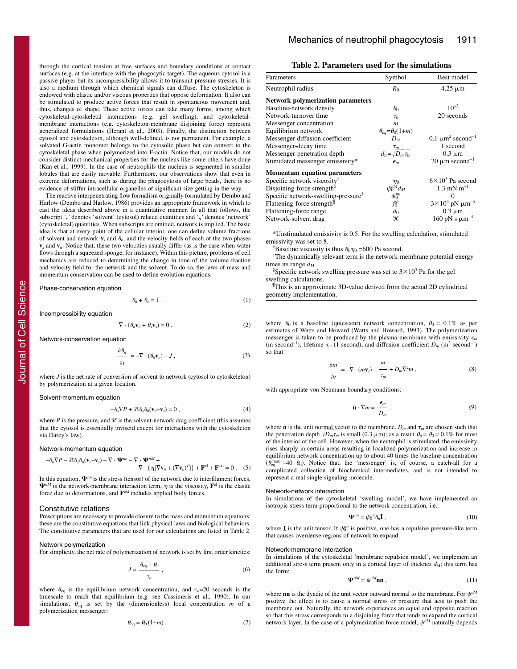through the cortical tension at free surfaces and boundary conditions at contact surfaces (e.g. at the interface with the phagocytic target). The aqueous cytosol is a passive player but its incompressibility allows it to transmit pressure stresses. It is also a medium through which chemical signals can diffuse. The cytoskeleton is

membrane interactions (e.g. cytoskeleton-membrane disjoining force) represent generalized formulations (Herant et al., 2003). Finally, the distinction between cytosol and cytoskeleton, although well-defined, is not permanent. For example, a solvated G-actin monomer belongs to the cytosolic phase but can convert to the cytoskeletal phase when polymerized into F-actin. Notice that, our models do not consider distinct mechanical properties for the nucleus like some others have done (Kan et al., 1999). In the case of neutrophils the nucleus is segmented in smaller lobules that are easily movable. Furthermore, our observations show that even in extreme deformations, such as during the phagocytosis of large beads, there is no evidence of stiffer intracellular organelles of significant size getting in the way.

The reactive interpenetrating flow formalism originally formulated by Dembo and Harlow (Dembo and Harlow, 1986) provides an appropriate framework in which to cast the ideas described above in a quantitative manner. In all that follows, the subscript '*s'* denotes 'solvent' (cytosol) related quantities and '*n'* denotes 'network' (cytoskeletal) quantities. When subscripts are omitted, network is implied. The basic idea is that at every point of the cellular interior, one can define volume fractions of solvent and network  $\theta_s$  and  $\theta_n$ , and the velocity fields of each of the two phases **v***<sup>s</sup>* and **v***n*. Notice that, these two velocities usually differ (as is the case when water flows through a squeezed sponge, for instance). Within this picture, problems of cell mechanics are reduced to determining the change in time of the volume fraction and velocity field for the network and the solvent. To do so, the laws of mass and momentum conservation can be used to define evolution equations.

Phase-conservation equation

$$
\theta_n + \theta_s = 1 \tag{1}
$$

Incompressibility equation

$$
\nabla \cdot (\theta_n \mathbf{v}_n + \theta_s \mathbf{v}_s) = 0.
$$
 (2)

Network-conservation equation

$$
\frac{\partial \theta_n}{\partial t} = -\nabla \cdot (\theta_n \mathbf{v}_n) + J , \qquad (3)
$$

where *J* is the net rate of conversion of solvent to network (cytosol to cytoskeleton) by polymerization at a given location.

Solvent-momentum equation

$$
-\theta_s \nabla P + \mathcal{H} \theta_s \theta_n (\mathbf{v}_n - \mathbf{v}_s) = 0 , \qquad (4)
$$

where  $P$  is the pressure, and  $\mathcal H$  is the solvent-network drag coefficient (this assumes that the cytosol is essentially inviscid except for interactions with the cytoskeleton via Darcy's law).

Network-momentum equation

$$
-\theta_n \nabla P - \mathcal{H} \theta_s \theta_n (\mathbf{v}_n - \mathbf{v}_s) - \nabla \cdot \mathbf{\Psi}^{nn} - \nabla \cdot \mathbf{\Psi}^{nn} + \nabla \cdot \{\eta [\nabla \mathbf{v}_n + (\nabla \mathbf{v}_n)^T] \} + \mathbf{F}^{cl} + \mathbf{F}^{ext} = 0
$$
 (5)

In this equation,  $\Psi^{nn}$  is the stress (tensor) of the network due to interfilament forces,  $\Psi^{nM}$  is the network-membrane interaction term,  $\eta$  is the viscosity,  $\mathbf{F}^{\text{el}}$  is the elastic force due to deformations, and **F**ext includes applied body forces.

#### Constitutive relations

Prescriptions are necessary to provide closure to the mass and momentum equations: these are the constitutive equations that link physical laws and biological behaviors. The constitutive parameters that are used for our calculations are listed in Table 2.

#### Network polymerization

For simplicity, the net rate of polymerization of network is set by first order kinetics:

$$
J = \frac{\theta_{\text{eq}} - \theta_n}{\tau_n} \,, \tag{6}
$$

where  $\theta_{eq}$  is the equilibrium network concentration, and  $\tau_n=20$  seconds is the timescale to reach that equilibrium (e.g. see Cassimeris et al., 1990). In our simulations,  $\theta_{eq}$  is set by the (dimensionless) local concentration *m* of a polymerization messenger:

$$
\theta_{\text{eq}} = \theta_0 (1 + m) \,, \tag{7}
$$

## **Table 2. Parameters used for the simulations**

| Parameters                                      | Symbol                      | Best model                                    |
|-------------------------------------------------|-----------------------------|-----------------------------------------------|
| Neutrophil radius                               | $R_0$                       | $4.25 \mu m$                                  |
| <b>Network polymerization parameters</b>        |                             |                                               |
| Baseline-network density                        | $\theta_0$                  | $10^{-3}$                                     |
| Network-turnover time                           | $\tau_n$                    | 20 seconds                                    |
| Messenger concentration                         | m                           |                                               |
| Equilibrium network                             | $heta_{eq} = \theta_0(1+m)$ |                                               |
| Messenger diffusion coefficient                 | $D_m$                       | 0.1 $\mu$ m <sup>2</sup> second <sup>-1</sup> |
| Messenger-decay time                            | $\tau_m$                    | 1 second                                      |
| Messenger-penetration depth                     | $d_m = \sqrt{D_m \tau_m}$   | $0.3 \mu m$                                   |
| Stimulated messenger emissivity*                | $\epsilon_m$                | $20 \mu m$ second <sup>-1</sup>               |
| <b>Momentum equation parameters</b>             |                             |                                               |
| Specific network viscosity <sup>†</sup>         | $\eta_0$                    | $6\times10^5$ Pa second                       |
| Disjoining-force strength $\ddot{\tau}$         | $\psi_0^{nM}d_M$            | $1.3$ mN m <sup>-1</sup>                      |
| Specific network-swelling-pressure <sup>§</sup> |                             | 0                                             |
| Flattening-force strength <sup>1</sup>          | $\frac{\psi_0^{nn}}{f_0^b}$ | $3\times10^4$ pN $\mu$ m <sup>-5</sup>        |
| Flattening-force range                          | $d_0$                       | $0.3 \mu m$                                   |
| Network-solvent drag                            | H                           | 160 pN s $\mu$ m <sup>-4</sup>                |

\*Unstimulated emissivity is 0.5. For the swelling calculation, stimulated emissivity was set to 8.

<sup>†</sup>Baseline viscosity is thus  $\theta_0 \eta_0$  =600 Pa second.

‡ The dynamically relevant term is the network-membrane potential energy times its range  $d_M$ .

Specific network swelling pressure was set to  $3\times10^5$  Pa for the gel swelling calculations.

¶ This is an approximate 3D-value derived from the actual 2D cylindrical geometry implementation.

where  $\theta_0$  is a baseline (quiescent) network concentration,  $\theta_0 = 0.1\%$  as per estimates of Watts and Howard (Watts and Howard, 1993). The polymerization messenger is taken to be produced by the plasma membrane with emissivity  $\epsilon_m$ (m second<sup>-1</sup>), lifetime  $\tau_m$  (1 second), and diffusion coefficient  $D_m$  (m<sup>2</sup> second<sup>-1</sup>) so that

$$
\frac{\partial m}{\partial t} = -\nabla \cdot (m\mathbf{v}_s) - \frac{m}{\tau_m} + D_m \nabla^2 m \,,\tag{8}
$$

with appropriate von Neumann boundary conditions:

$$
\mathbf{n} \cdot \nabla m = \frac{\epsilon_m}{D_m} \,,\tag{9}
$$

where **n** is the unit normal vector to the membrane.  $D_m$  and  $\tau_m$  are chosen such that the penetration depth  $\sqrt{D_m \tau_m}$  is small (0.3  $\mu$ m); as a result  $\theta_n = \theta_0 = 0.1\%$  for most of the interior of the cell. However, when the neutrophil is stimulated, the emissivity rises sharply in certain areas resulting in localized polymerization and increase in equilibrium network concentration up to about 40 times the baseline concentration  $(\hat{\theta}_{eq}^{max} \sim 40 \theta_0)$ . Notice that, the 'messenger' is, of course, a catch-all for a complicated collection of biochemical intermediates, and is not intended to represent a real single signaling molecule.

#### Network-network interaction

In simulations of the cytoskeletal 'swelling model', we have implemented an isotropic stress term proportional to the network concentration, i.e.:

$$
\mathbf{\Psi}^{nn} = \psi_0^{nn} \theta_n \mathbf{I} \,, \tag{10}
$$

where  $\mathbf I$  is the unit tensor. If  $\psi_0^m$  is positive, one has a repulsive pressure-like term that causes overdense regions of network to expand.

#### Network-membrane interaction

In simulations of the cytoskeletal 'membrane repulsion model', we implement an additional stress term present only in a cortical layer of thicknes  $d_M$ ; this term has the form:

$$
\mathbf{\Psi}^{nM} = \psi^{nM} \mathbf{n} \mathbf{n} \tag{11}
$$

where **nn** is the dyadic of the unit vector outward normal to the membrane. For  $\psi^{nM}$ positive the effect is to cause a normal stress or pressure that acts to push the membrane out. Naturally, the network experiences an equal and opposite reaction so that this stress corresponds to a disjoining force that tends to expand the cortical network layer. In the case of a polymerization force model,  $\psi^{nM}$  naturally depends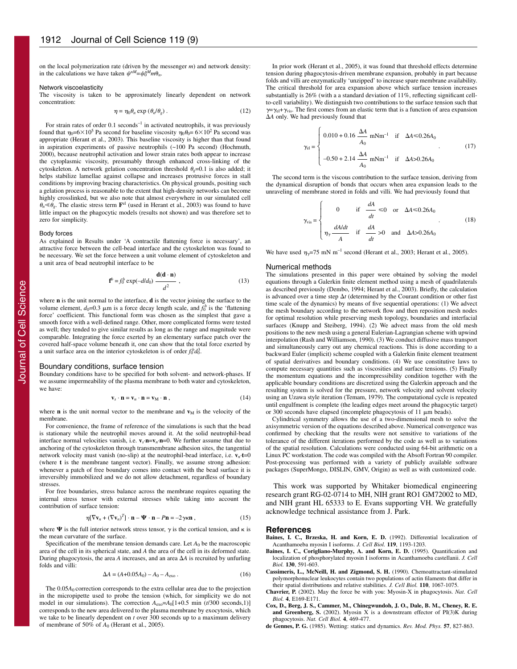on the local polymerization rate (driven by the messenger *m*) and network density: in the calculations we have taken  $\psi^{nM} = \psi_0^{nM} m \theta_n$ .

#### Network viscoelasticity

The viscosity is taken to be approximately linearly dependent on network concentration:

$$
\eta = \eta_0 \theta_n \exp \left( \theta_n / \theta_g \right). \tag{12}
$$

For strain rates of order  $0.1$  seconds<sup> $-1$ </sup> in activated neutrophils, it was previously found that  $\eta_0 = 6 \times 10^5$  Pa second for baseline viscosity  $\eta_0 \theta_0 = 6 \times 10^2$  Pa second was appropriate (Herant et al., 2003). This baseline viscosity is higher than that found in aspiration experiments of passive neutrophils (~100 Pa second) (Hochmuth, 2000), because neutrophil activation and lower strain rates both appear to increase the cytoplasmic viscosity, presumably through enhanced cross-linking of the cytoskeleton. A network gelation concentration threshold  $\theta_{g}=0.1$  is also added; it helps stabilize lamellae against collapse and increases protrusive forces in stall conditions by improving bracing characteristics. On physical grounds, positing such a gelation process is reasonable to the extent that high-density networks can become highly crosslinked, but we also note that almost everywhere in our simulated cell  $\theta_n \leq \theta_g$ . The elastic stress term  $\mathbf{F}^{el}$  (used in Herant et al., 2003) was found to have little impact on the phagocytic models (results not shown) and was therefore set to zero for simplicity.

#### Body forces

As explained in Results under 'A contractile flattening force is necessary', an attractive force between the cell-bead interface and the cytoskeleton was found to be necessary. We set the force between a unit volume element of cytoskeleton and a unit area of bead neutrophil interface to be

$$
\mathbf{f}^b = f_0^b \exp(-dl d_0) \frac{\mathbf{d}(\mathbf{d} \cdot \mathbf{n})}{d^2} , \qquad (13)
$$

where **n** is the unit normal to the interface, **d** is the vector joining the surface to the volume element,  $d_0=0.3 \mu m$  is a force decay length scale, and  $f_0^b$  is the 'flattening force' coefficient. This functional form was chosen as the simplest that gave a smooth force with a well-defined range. Other, more complicated forms were tested as well; they tended to give similar results as long as the range and magnitude were comparable. Integrating the force exerted by an elementary surface patch over the covered half-space volume beneath it, one can show that the total force exerted by a unit surface area on the interior cytoskeleton is of order  $f_0^b d_0^3$ .

#### Boundary conditions, surface tension

Boundary conditions have to be specified for both solvent- and network-phases. If we assume impermeability of the plasma membrane to both water and cytoskeleton, we have:

$$
\mathbf{v}_s \cdot \mathbf{n} = \mathbf{v}_n \cdot \mathbf{n} = \mathbf{v}_M \cdot \mathbf{n} \,, \tag{14}
$$

where **n** is the unit normal vector to the membrane and  $v_M$  is the velocity of the membrane.

For convenience, the frame of reference of the simulations is such that the bead is stationary while the neutrophil moves around it. At the solid neutrophil-bead interface normal velocities vanish, i.e.  $\mathbf{v}_s \cdot \mathbf{n} = \mathbf{v}_n \cdot \mathbf{n} = 0$ . We further assume that due to anchoring of the cytoskeleton through transmembrane adhesion sites, the tangential network velocity must vanish (no-slip) at the neutrophil-bead interface, i.e.  $\mathbf{v}_n \cdot \mathbf{t} = 0$ (where **t** is the membrane tangent vector). Finally, we assume strong adhesion: whenever a patch of free boundary comes into contact with the bead surface it is irreversibly immobilized and we do not allow detachment, regardless of boundary stresses.

For free boundaries, stress balance across the membrane requires equating the internal stress tensor with external stresses while taking into account the contribution of surface tension:

$$
\eta[\nabla \mathbf{v}_n + (\nabla \mathbf{v}_n)^T] \cdot \mathbf{n} - \mathbf{\Psi} \cdot \mathbf{n} - P\mathbf{n} = -2\gamma \kappa \mathbf{n} \,,\tag{15}
$$

where  $\Psi$  is the full interior network stress tensor,  $\gamma$  is the cortical tension, and  $\kappa$  is the mean curvature of the surface.

Specification of the membrane tension demands care. Let  $A_0$  be the macroscopic area of the cell in its spherical state, and *A* the area of the cell in its deformed state. During phagocytosis, the area  $A$  increases, and an area  $\Delta A$  is recruited by unfurling folds and villi:

$$
\Delta A = (A + 0.05A_0) - A_0 - A_{\text{exo}} \,. \tag{16}
$$

The  $0.05A_0$  correction corresponds to the extra cellular area due to the projection in the micropipette used to probe the tension (which, for simplicity we do not model in our simulations). The correction  $A_{\text{exo}}=A_0[1+0.5 \text{ min } (t/300 \text{ seconds}, 1)]$ corresponds to the new area delivered to the plasma membrane by exocytosis, which we take to be linearly dependent on *t* over 300 seconds up to a maximum delivery of membrane of 50% of *A*<sup>0</sup> (Herant et al., 2005).

In prior work (Herant et al., 2005), it was found that threshold effects determine tension during phagocytosis-driven membrane expansion, probably in part because folds and villi are enzymatically 'unzipped' to increase spare membrane availability. The critical threshold for area expansion above which surface tension increases substantially is 26% (with a a standard deviation of 11%, reflecting significant cellto-cell variability). We distinguish two contributions to the surface tension such that  $\gamma = \gamma_{\text{el}} + \gamma_{\text{vis}}$ . The first comes from an elastic term that is a function of area expansion *A* only. We had previously found that

$$
\gamma_{\rm el} = \begin{cases}\n0.010 + 0.16 \frac{\Delta A}{A_0} \text{ mNm}^{-1} & \text{if } \Delta A \le 0.26A_0 \\
-0.50 + 2.14 \frac{\Delta A}{A_0} \text{ mNm}^{-1} & \text{if } \Delta A > 0.26A_0\n\end{cases}
$$
\n(17)

The second term is the viscous contribution to the surface tension, deriving from the dynamical disruption of bonds that occurs when area expansion leads to the unraveling of membrane stored in folds and villi. We had previously found that

$$
\gamma_{\text{vis}} = \begin{cases}\n0 & \text{if } \frac{dA}{dt} \le 0 \text{ or } \Delta A \le 0.26A_0 \\
\eta_\gamma \frac{dA/dt}{A} & \text{if } \frac{dA}{dt} > 0 \text{ and } \Delta A > 0.26A_0\n\end{cases}
$$
\n(18)

We have used  $\eta_{\gamma}$ =75 mN m<sup>-1</sup> second (Herant et al., 2003; Herant et al., 2005).

#### Numerical methods

 $\gamma_{\rm vi}$ 

The simulations presented in this paper were obtained by solving the model equations through a Galerkin finite element method using a mesh of quadrilaterals as described previously (Dembo, 1994; Herant et al., 2003). Briefly, the calculation is advanced over a time step  $\Delta t$  (determined by the Courant condition or other fast time scale of the dynamics) by means of five sequential operations: (1) We advect the mesh boundary according to the network flow and then reposition mesh nodes for optimal resolution while preserving mesh topology, boundaries and interfacial surfaces (Knupp and Steiberg, 1994). (2) We advect mass from the old mesh positions to the new mesh using a general Eulerian-Lagrangian scheme with upwind interpolation (Rash and Williamson, 1990). (3) We conduct diffusive mass transport and simultaneously carry out any chemical reactions. This is done according to a backward Euler (implicit) scheme coupled with a Galerkin finite element treatment of spatial derivatives and boundary conditions. (4) We use constitutive laws to compute necessary quantities such as viscosities and surface tensions. (5) Finally the momentum equations and the incompressibility condition together with the applicable boundary conditions are discretized using the Galerkin approach and the resulting system is solved for the pressure, network velocity and solvent velocity using an Uzawa style iteration (Temam, 1979). The computational cycle is repeated until engulfment is complete (the leading edges meet around the phagocytic target) or 300 seconds have elapsed (incomplete phagocytosis of 11  $\mu$ m beads).

Cylindrical symmetry allows the use of a two-dimensional mesh to solve the axisymmetric version of the equations described above. Numerical convergence was confirmed by checking that the results were not sensitive to variations of the tolerance of the different iterations performed by the code as well as to variations of the spatial resolution. Calculations were conducted using 64-bit arithmetic on a Linux PC workstation. The code was compiled with the Absoft Fortran 90 compiler. Post-processing was performed with a variety of publicly available software packages (SuperMongo, DISLIN, GMV, Origin) as well as with customized code.

This work was supported by Whitaker biomedical engineering research grant RG-02-0714 to MH, NIH grant RO1 GM72002 to MD, and NIH grant HL 65333 to E. Evans supporting VH. We gratefully acknowledge technical assistance from J. Park.

#### **References**

**Baines, I. C., Brzeska, H. and Korn, E. D.** (1992). Differential localization of Acanthamoeba myosin I isoforms. *J. Cell Biol.* **119**, 1193-1203.

- **Baines, I. C., Corigliano-Murphy, A. and Korn, E. D.** (1995). Quantification and localization of phosphorylated myosin I isoforms in Acanthamoeba castellanii. *J. Cell Biol.* **130**, 591-603.
- **Cassimeris, L., McNeill, H. and Zigmond, S. H.** (1990). Chemoattractant-stimulated polymorphonuclear leukocytes contain two populations of actin filaments that differ in their spatial distributions and relative stabilities. *J. Cell Biol.* **110**, 1067-1075.
- **Chavrier, P.** (2002). May the force be with you: Myosin-X in phagocytosis. *Nat. Cell Biol.* **4**, E169-E171.
- **Cox, D., Berg, J. S., Cammer, M., Chinegwundoh, J. O., Dale, B. M., Cheney, R. E. and Greenberg, S.** (2002). Myosin X is a downstream effector of PI(3)K during phagocytosis. *Nat. Cell Biol.* **4**, 469-477.
- **de Gennes, P. G.** (1985). Wetting: statics and dynamics. *Rev. Mod. Phys.* **57**, 827-863.